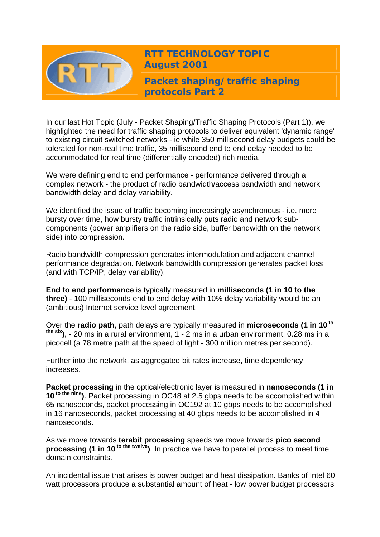

**RTT TECHNOLOGY TOPIC August 2001**

**Packet shaping/traffic shaping protocols Part 2** 

In our last Hot Topic (July - Packet Shaping/Traffic Shaping Protocols (Part 1)), we highlighted the need for traffic shaping protocols to deliver equivalent 'dynamic range' to existing circuit switched networks - ie while 350 millisecond delay budgets could be tolerated for non-real time traffic, 35 millisecond end to end delay needed to be accommodated for real time (differentially encoded) rich media.

We were defining end to end performance - performance delivered through a complex network - the product of radio bandwidth/access bandwidth and network bandwidth delay and delay variability.

We identified the issue of traffic becoming increasingly asynchronous - i.e. more bursty over time, how bursty traffic intrinsically puts radio and network subcomponents (power amplifiers on the radio side, buffer bandwidth on the network side) into compression.

Radio bandwidth compression generates intermodulation and adjacent channel performance degradation. Network bandwidth compression generates packet loss (and with TCP/IP, delay variability).

**End to end performance** is typically measured in **milliseconds (1 in 10 to the three)** - 100 milliseconds end to end delay with 10% delay variability would be an (ambitious) Internet service level agreement.

Over the **radio path**, path delays are typically measured in **microseconds (1 in 10 to the six)**, - 20 ms in a rural environment, 1 - 2 ms in a urban environment, 0.28 ms in a picocell (a 78 metre path at the speed of light - 300 million metres per second).

Further into the network, as aggregated bit rates increase, time dependency increases.

**Packet processing** in the optical/electronic layer is measured in **nanoseconds (1 in 10 to the nine)**. Packet processing in OC48 at 2.5 gbps needs to be accomplished within 65 nanoseconds, packet processing in OC192 at 10 gbps needs to be accomplished in 16 nanoseconds, packet processing at 40 gbps needs to be accomplished in 4 nanoseconds.

As we move towards **terabit processing** speeds we move towards **pico second processing (1 in 10<sup>to the twelve</sup>).** In practice we have to parallel process to meet time domain constraints.

An incidental issue that arises is power budget and heat dissipation. Banks of Intel 60 watt processors produce a substantial amount of heat - low power budget processors